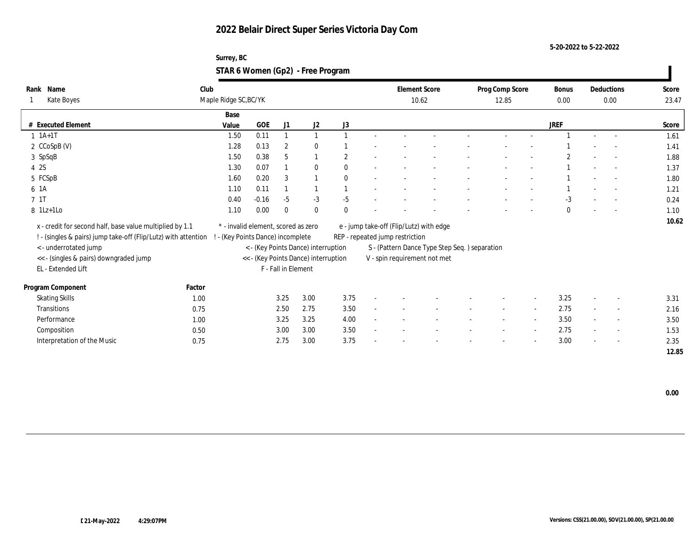**5-20-2022 to 5-22-2022**

### **Surrey, BC STAR 6 Women (Gp2) - Free Program**

| Name<br>Rank                                                   | Club                  |                                     |                     |                                      |                  | <b>Element Score</b>            |                                               | Prog Comp Score |                          | Bonus        |                          | Deductions               | Score |
|----------------------------------------------------------------|-----------------------|-------------------------------------|---------------------|--------------------------------------|------------------|---------------------------------|-----------------------------------------------|-----------------|--------------------------|--------------|--------------------------|--------------------------|-------|
| Kate Boyes                                                     | Maple Ridge SC, BC/YK |                                     |                     |                                      |                  |                                 | 10.62                                         | 12.85           |                          | 0.00         |                          | 0.00                     | 23.47 |
|                                                                | Base                  |                                     |                     |                                      |                  |                                 |                                               |                 |                          |              |                          |                          |       |
| # Executed Element                                             | Value                 | GOE                                 | J1                  | $\mathrm{J}2$                        | $_{\mathrm{J}3}$ |                                 |                                               |                 |                          | <b>JREF</b>  |                          |                          | Score |
| $1 \t1A+1T$                                                    | 1.50                  | 0.11                                |                     |                                      |                  |                                 |                                               |                 |                          |              |                          |                          | 1.61  |
| 2 CCoSpB (V)                                                   | 1.28                  | 0.13                                | $\overline{2}$      | $\mathbf{0}$                         |                  |                                 |                                               |                 |                          |              |                          |                          | 1.41  |
| 3 SpSqB                                                        | 1.50                  | 0.38                                | 5                   | $\overline{1}$                       | $\overline{2}$   |                                 |                                               |                 |                          |              |                          |                          | 1.88  |
| 4 2S                                                           | 1.30                  | 0.07                                |                     | $\mathbf{0}$                         | $\theta$         |                                 |                                               |                 |                          |              |                          | $\sim$                   | 1.37  |
| 5 FCSpB                                                        | 1.60                  | 0.20                                | 3                   | $\overline{1}$                       | $\theta$         |                                 |                                               |                 |                          |              |                          | $\overline{a}$           | 1.80  |
| 6 1A                                                           | 1.10                  | 0.11                                |                     | $\overline{1}$                       |                  |                                 |                                               |                 |                          |              |                          |                          | 1.21  |
| 7 1T                                                           | 0.40                  | $-0.16$                             | $-5$                | $-3$                                 | $-5$             |                                 |                                               |                 |                          | $-3$         |                          |                          | 0.24  |
| $8$ 1Lz+1Lo                                                    | 1.10                  | 0.00                                | $\mathbf{0}$        | $\mathbf{0}$                         | $\theta$         |                                 |                                               |                 |                          | $\mathbf{0}$ |                          |                          | 1.10  |
| x - credit for second half, base value multiplied by 1.1       |                       | * - invalid element, scored as zero |                     |                                      |                  |                                 | e - jump take-off (Flip/Lutz) with edge       |                 |                          |              |                          |                          | 10.62 |
| ! - (singles & pairs) jump take-off (Flip/Lutz) with attention |                       | ! - (Key Points Dance) incomplete   |                     |                                      |                  | REP - repeated jump restriction |                                               |                 |                          |              |                          |                          |       |
| <- underrotated jump                                           |                       |                                     |                     | < - (Key Points Dance) interruption  |                  |                                 | S - (Pattern Dance Type Step Seq.) separation |                 |                          |              |                          |                          |       |
| << - (singles & pairs) downgraded jump                         |                       |                                     |                     | << - (Key Points Dance) interruption |                  | V - spin requirement not met    |                                               |                 |                          |              |                          |                          |       |
| EL - Extended Lift                                             |                       |                                     | F - Fall in Element |                                      |                  |                                 |                                               |                 |                          |              |                          |                          |       |
|                                                                |                       |                                     |                     |                                      |                  |                                 |                                               |                 |                          |              |                          |                          |       |
| Program Component                                              | Factor                |                                     |                     |                                      |                  |                                 |                                               |                 |                          |              |                          |                          |       |
| <b>Skating Skills</b>                                          | 1.00                  |                                     | 3.25                | 3.00                                 | 3.75             |                                 |                                               |                 | $\overline{\phantom{a}}$ | 3.25         |                          | $\overline{\phantom{a}}$ | 3.31  |
| <b>Transitions</b>                                             | 0.75                  |                                     | 2.50                | 2.75                                 | 3.50             |                                 |                                               |                 | $\sim$                   | 2.75         |                          | $\overline{\phantom{a}}$ | 2.16  |
| Performance                                                    | 1.00                  |                                     | 3.25                | 3.25                                 | 4.00             |                                 |                                               |                 | $\overline{\phantom{a}}$ | 3.50         |                          | $\overline{\phantom{a}}$ | 3.50  |
| Composition                                                    | 0.50                  |                                     | 3.00                | 3.00                                 | 3.50             |                                 |                                               |                 | $\overline{\phantom{a}}$ | 2.75         |                          | $\sim$                   | 1.53  |
| Interpretation of the Music                                    | 0.75                  |                                     | 2.75                | 3.00                                 | 3.75             |                                 |                                               |                 | $\overline{\phantom{a}}$ | 3.00         | $\overline{\phantom{a}}$ | $\sim$                   | 2.35  |
|                                                                |                       |                                     |                     |                                      |                  |                                 |                                               |                 |                          |              |                          |                          | 12.85 |

 **0.00**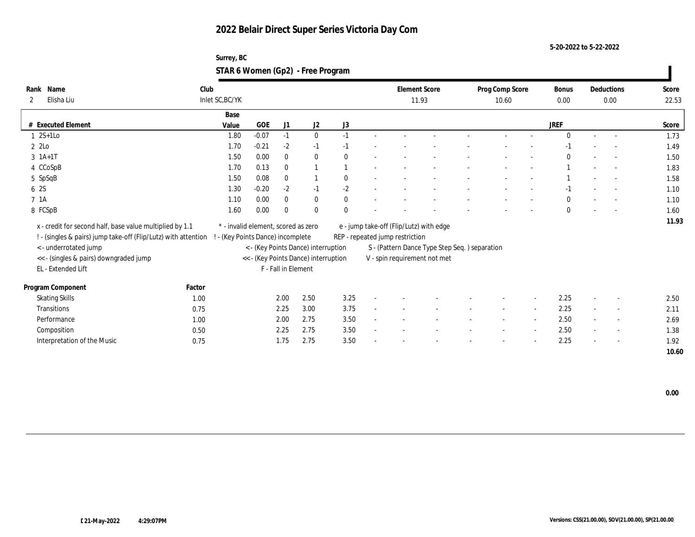**5-20-2022 to 5-22-2022**

| Surrey, BC                        |  |
|-----------------------------------|--|
| STAR 6 Women (Gp2) - Free Program |  |

| Rank Name                                                      | Club   |                                     |            |                     |                                      |              |                                 | <b>Element Score</b>                           | Prog Comp Score |                          | Bonus        |                          | Deductions               | Score |
|----------------------------------------------------------------|--------|-------------------------------------|------------|---------------------|--------------------------------------|--------------|---------------------------------|------------------------------------------------|-----------------|--------------------------|--------------|--------------------------|--------------------------|-------|
| Elisha Liu<br>2                                                |        | Inlet SC, BC/YK                     |            |                     |                                      |              |                                 | 11.93                                          | 10.60           |                          | 0.00         |                          | 0.00                     | 22.53 |
|                                                                |        | Base                                |            |                     |                                      |              |                                 |                                                |                 |                          |              |                          |                          |       |
| # Executed Element                                             |        | Value                               | <b>GOE</b> | J1                  | J2                                   | J3           |                                 |                                                |                 |                          | <b>JREF</b>  |                          |                          | Score |
| $1 \quad 2S+1LO$                                               |        | 1.80                                | $-0.07$    | $-1$                | $\bf{0}$                             | $-1$         |                                 |                                                |                 |                          | $\mathbf{0}$ | $\sim$                   | $\sim$                   | 1.73  |
| 2 2Lo                                                          |        | 1.70                                | $-0.21$    | $-2$                | $-1$                                 | $-1$         |                                 |                                                |                 |                          | -1           |                          |                          | 1.49  |
| $3 \; 1A+1T$                                                   |        | 1.50                                | 0.00       | $\mathbf{0}$        | $\bf{0}$                             | $\mathbf{0}$ |                                 |                                                |                 |                          | $\Omega$     |                          | $\sim$                   | 1.50  |
| 4 CCoSpB                                                       |        | 1.70                                | 0.13       | $\mathbf{0}$        |                                      |              |                                 |                                                |                 |                          |              |                          | $\sim$                   | 1.83  |
| 5 SpSqB                                                        |        | 1.50                                | 0.08       | $\mathbf{0}$        |                                      | $\mathbf{0}$ |                                 |                                                |                 |                          |              |                          |                          | 1.58  |
| 6 2S                                                           |        | 1.30                                | $-0.20$    | $-2$                | $-1$                                 | $-2$         |                                 |                                                |                 |                          | $-1$         |                          |                          | 1.10  |
| 7 1A                                                           |        | 1.10                                | 0.00       | $\mathbf{0}$        | $\bf{0}$                             | $\mathbf{0}$ |                                 |                                                |                 |                          | $\mathbf{0}$ |                          | $\overline{\phantom{a}}$ | 1.10  |
| 8 FCSpB                                                        |        | 1.60                                | 0.00       | $\mathbf{0}$        | $\mathbf{0}$                         | $\mathbf{0}$ |                                 |                                                |                 |                          | $\mathbf{0}$ |                          |                          | 1.60  |
| x - credit for second half, base value multiplied by 1.1       |        | * - invalid element, scored as zero |            |                     |                                      |              |                                 | e - jump take-off (Flip/Lutz) with edge        |                 |                          |              |                          |                          | 11.93 |
| ! - (singles & pairs) jump take-off (Flip/Lutz) with attention |        | - (Key Points Dance) incomplete     |            |                     |                                      |              | REP - repeated jump restriction |                                                |                 |                          |              |                          |                          |       |
| <- underrotated jump                                           |        |                                     |            |                     | < - (Key Points Dance) interruption  |              |                                 | S - (Pattern Dance Type Step Seq. ) separation |                 |                          |              |                          |                          |       |
| << - (singles & pairs) downgraded jump                         |        |                                     |            |                     | << - (Key Points Dance) interruption |              |                                 | V - spin requirement not met                   |                 |                          |              |                          |                          |       |
| EL - Extended Lift                                             |        |                                     |            | F - Fall in Element |                                      |              |                                 |                                                |                 |                          |              |                          |                          |       |
|                                                                |        |                                     |            |                     |                                      |              |                                 |                                                |                 |                          |              |                          |                          |       |
| Program Component                                              | Factor |                                     |            |                     |                                      |              |                                 |                                                |                 |                          |              |                          |                          |       |
| <b>Skating Skills</b>                                          | 1.00   |                                     |            | 2.00                | 2.50                                 | 3.25         |                                 |                                                |                 |                          | 2.25         | $\overline{\phantom{a}}$ | $\overline{\phantom{a}}$ | 2.50  |
| Transitions                                                    | 0.75   |                                     |            | 2.25                | 3.00                                 | 3.75         |                                 |                                                | $\sim$          | $\overline{\phantom{a}}$ | 2.25         | $\sim$                   | $\sim$                   | 2.11  |
| Performance                                                    | 1.00   |                                     |            | 2.00                | 2.75                                 | 3.50         |                                 |                                                |                 | $\overline{a}$           | 2.50         |                          | $\overline{\phantom{a}}$ | 2.69  |
| Composition                                                    | 0.50   |                                     |            | 2.25                | 2.75                                 | 3.50         |                                 |                                                |                 |                          | 2.50         |                          | $\sim$                   | 1.38  |
| Interpretation of the Music                                    | 0.75   |                                     |            | 1.75                | 2.75                                 | 3.50         |                                 |                                                |                 |                          | 2.25         |                          | $\overline{\phantom{a}}$ | 1.92  |
|                                                                |        |                                     |            |                     |                                      |              |                                 |                                                |                 |                          |              |                          |                          | 10.60 |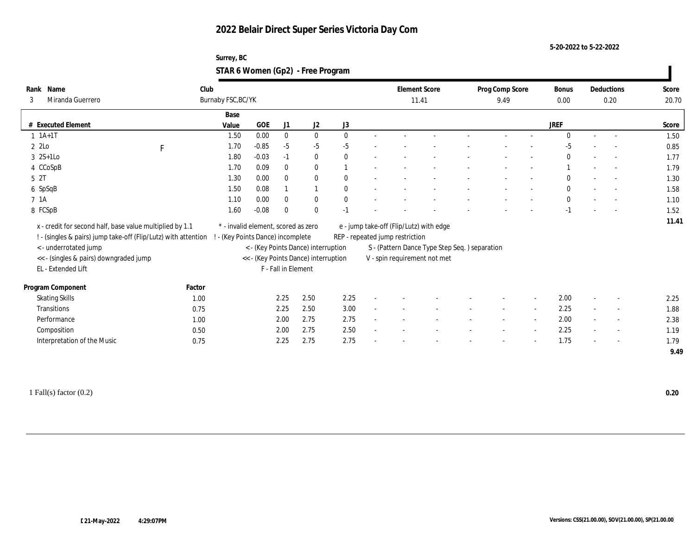#### **5-20-2022 to 5-22-2022**

### **Surrey, BC STAR 6 Women (Gp2) - Free Program**

| Rank Name                                                                                        | Club   |                                     |         |                     |                                      |              |                                 | <b>Element Score</b>                          | Prog Comp Score |                          | Bonus        |                          | Deductions               | Score |
|--------------------------------------------------------------------------------------------------|--------|-------------------------------------|---------|---------------------|--------------------------------------|--------------|---------------------------------|-----------------------------------------------|-----------------|--------------------------|--------------|--------------------------|--------------------------|-------|
| Miranda Guerrero<br>3                                                                            |        | Burnaby FSC, BC/YK                  |         |                     |                                      |              |                                 | 11.41                                         | 9.49            |                          | $0.00\,$     |                          | 0.20                     | 20.70 |
|                                                                                                  |        | Base                                |         |                     |                                      |              |                                 |                                               |                 |                          |              |                          |                          |       |
| # Executed Element                                                                               |        | Value                               | GOE     | J1                  | $\mathrm{J}2$                        | $\rm J3$     |                                 |                                               |                 |                          | <b>JREF</b>  |                          |                          | Score |
| $1 \t1A+1T$                                                                                      |        | 1.50                                | 0.00    | $\bf{0}$            | $\bf{0}$                             | $\mathbf{0}$ |                                 |                                               |                 |                          | $\Omega$     |                          |                          | 1.50  |
| 2 2Lo                                                                                            | F      | 1.70                                | $-0.85$ | $-5$                | $-5$                                 | $-5$         |                                 |                                               |                 |                          | $-5$         |                          |                          | 0.85  |
| $3 \t2S+1Lo$                                                                                     |        | 1.80                                | $-0.03$ | $-1$                | $\bf{0}$                             | $\theta$     |                                 |                                               |                 |                          | $\mathbf{0}$ |                          |                          | 1.77  |
| 4 CCoSpB                                                                                         |        | 1.70                                | 0.09    | $\mathbf{0}$        | $\mathbf{0}$                         |              |                                 |                                               |                 |                          |              | $\sim$                   | $\overline{a}$           | 1.79  |
| 5 <sup>2T</sup>                                                                                  |        | 1.30                                | 0.00    | $\mathbf{0}$        | $\mathbf{0}$                         | $\theta$     |                                 |                                               |                 |                          | $\Omega$     |                          | $\sim$                   | 1.30  |
| 6 SpSqB                                                                                          |        | 1.50                                | 0.08    |                     | $\mathbf{1}$                         | $\theta$     |                                 |                                               |                 |                          | $\mathbf{0}$ |                          | $\sim$                   | 1.58  |
| 7 1A                                                                                             |        | 1.10                                | 0.00    | $\mathbf{0}$        | $\bf{0}$                             | $\mathbf{0}$ |                                 |                                               |                 |                          | $\mathbf{0}$ |                          |                          | 1.10  |
| 8 FCSpB                                                                                          |        | 1.60                                | $-0.08$ | $\mathbf{0}$        | $\mathbf{0}$                         | $-1$         |                                 |                                               |                 |                          | $-1$         |                          |                          | 1.52  |
| x - credit for second half, base value multiplied by 1.1                                         |        | * - invalid element, scored as zero |         |                     |                                      |              |                                 | e - jump take-off (Flip/Lutz) with edge       |                 |                          |              |                          |                          | 11.41 |
| ! - (singles & pairs) jump take-off (Flip/Lutz) with attention ! - (Key Points Dance) incomplete |        |                                     |         |                     |                                      |              | REP - repeated jump restriction |                                               |                 |                          |              |                          |                          |       |
| < - underrotated jump                                                                            |        |                                     |         |                     | < - (Key Points Dance) interruption  |              |                                 | S - (Pattern Dance Type Step Seq.) separation |                 |                          |              |                          |                          |       |
| << - (singles & pairs) downgraded jump                                                           |        |                                     |         |                     | << - (Key Points Dance) interruption |              |                                 | V - spin requirement not met                  |                 |                          |              |                          |                          |       |
| EL - Extended Lift                                                                               |        |                                     |         | F - Fall in Element |                                      |              |                                 |                                               |                 |                          |              |                          |                          |       |
|                                                                                                  |        |                                     |         |                     |                                      |              |                                 |                                               |                 |                          |              |                          |                          |       |
| Program Component                                                                                | Factor |                                     |         |                     |                                      |              |                                 |                                               |                 |                          |              |                          |                          |       |
| <b>Skating Skills</b>                                                                            | 1.00   |                                     |         | 2.25                | 2.50                                 | 2.25         |                                 |                                               |                 |                          | 2.00         |                          |                          | 2.25  |
| Transitions                                                                                      | 0.75   |                                     |         | 2.25                | 2.50                                 | 3.00         |                                 |                                               |                 | $\sim$                   | 2.25         | $\sim$                   | $\overline{\phantom{a}}$ | 1.88  |
| Performance                                                                                      | 1.00   |                                     |         | 2.00                | 2.75                                 | 2.75         |                                 |                                               |                 | $\sim$                   | 2.00         |                          | $\sim$                   | 2.38  |
| Composition                                                                                      | 0.50   |                                     |         | 2.00                | 2.75                                 | 2.50         |                                 |                                               |                 | $\overline{\phantom{a}}$ | 2.25         | $\sim$                   | $\overline{\phantom{a}}$ | 1.19  |
| Interpretation of the Music                                                                      | 0.75   |                                     |         | 2.25                | 2.75                                 | 2.75         |                                 |                                               |                 | $\overline{\phantom{a}}$ | 1.75         | $\overline{\phantom{a}}$ | $\overline{\phantom{a}}$ | 1.79  |
|                                                                                                  |        |                                     |         |                     |                                      |              |                                 |                                               |                 |                          |              |                          |                          | 9.49  |

1 Fall(s) factor (0.2) **0.20**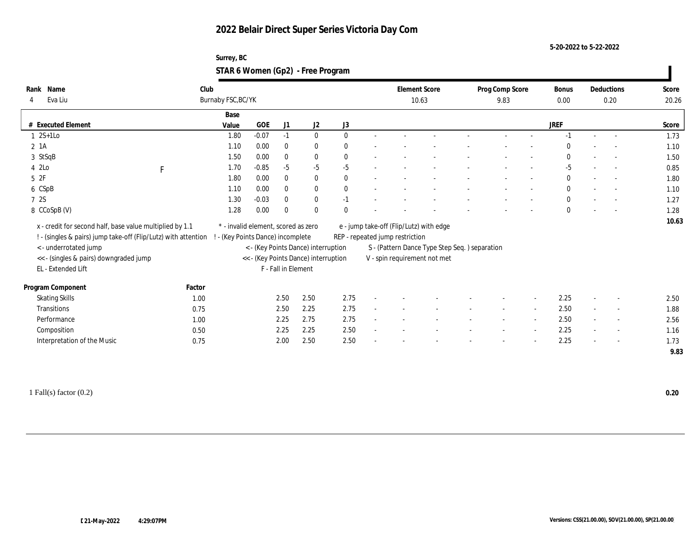**5-20-2022 to 5-22-2022**

| Surrey, BC                        |  |
|-----------------------------------|--|
| STAR 6 Women (Gp2) - Free Program |  |

| Name<br>Rank                                                   | Club         |                                   |                                     |                     |                                      |              |                                 | <b>Element Score</b>                          | Prog Comp Score | <b>Bonus</b> |                          | Deductions               | Score |
|----------------------------------------------------------------|--------------|-----------------------------------|-------------------------------------|---------------------|--------------------------------------|--------------|---------------------------------|-----------------------------------------------|-----------------|--------------|--------------------------|--------------------------|-------|
| Eva Liu<br>4                                                   |              | Burnaby FSC, BC/YK                |                                     |                     |                                      |              |                                 | 10.63                                         | 9.83            | 0.00         |                          | 0.20                     | 20.26 |
|                                                                |              | Base                              |                                     |                     |                                      |              |                                 |                                               |                 |              |                          |                          |       |
| # Executed Element                                             |              | Value                             | GOE                                 | J1                  | J2                                   | J3           |                                 |                                               |                 | <b>JREF</b>  |                          |                          | Score |
| $2S+1Lo$                                                       |              | 1.80                              | $-0.07$                             | $-1$                | $\bf{0}$                             | $\mathbf{0}$ |                                 |                                               |                 | $-1$         | $\sim$                   |                          | 1.73  |
| $2 \; 1A$                                                      |              | 1.10                              | 0.00                                | $\mathbf{0}$        | $\bf{0}$                             | $\bf{0}$     |                                 |                                               |                 | $\mathbf{0}$ |                          |                          | 1.10  |
| 3 StSqB                                                        |              | 1.50                              | 0.00                                | $\mathbf{0}$        | $\bf{0}$                             | $\bf{0}$     |                                 |                                               |                 | 0            |                          | $\sim$                   | 1.50  |
| 4 2Lo                                                          | $\mathbf{F}$ | 1.70                              | $-0.85$                             | $-5$                | $-5$                                 | $-5$         |                                 |                                               |                 | $-5$         |                          | $\sim$                   | 0.85  |
| 5 2F                                                           |              | 1.80                              | 0.00                                | $\bf{0}$            | $\bf{0}$                             | $\mathbf{0}$ |                                 |                                               |                 | $\bf{0}$     |                          |                          | 1.80  |
| 6 CSpB                                                         |              | 1.10                              | 0.00                                | $\bf{0}$            | $\bf{0}$                             | $\mathbf{0}$ |                                 |                                               |                 | $\bf{0}$     |                          |                          | 1.10  |
| 7 2S                                                           |              | 1.30                              | $-0.03$                             | $\bf{0}$            | $\bf{0}$                             | $-1$         |                                 |                                               |                 | $\bf{0}$     |                          |                          | 1.27  |
| 8 CCoSpB (V)                                                   |              | 1.28                              | 0.00                                | $\bf{0}$            | $\mathbf{0}$                         | $\Omega$     |                                 |                                               |                 | $\mathbf{0}$ |                          |                          | 1.28  |
| x - credit for second half, base value multiplied by 1.1       |              |                                   | * - invalid element, scored as zero |                     |                                      |              |                                 | e - jump take-off (Flip/Lutz) with edge       |                 |              |                          |                          | 10.63 |
| ! - (singles & pairs) jump take-off (Flip/Lutz) with attention |              | ! - (Key Points Dance) incomplete |                                     |                     |                                      |              | REP - repeated jump restriction |                                               |                 |              |                          |                          |       |
| < - underrotated jump                                          |              |                                   |                                     |                     | < - (Key Points Dance) interruption  |              |                                 | S - (Pattern Dance Type Step Seq.) separation |                 |              |                          |                          |       |
| << - (singles & pairs) downgraded jump                         |              |                                   |                                     |                     | << - (Key Points Dance) interruption |              |                                 | V - spin requirement not met                  |                 |              |                          |                          |       |
| EL - Extended Lift                                             |              |                                   |                                     | F - Fall in Element |                                      |              |                                 |                                               |                 |              |                          |                          |       |
|                                                                |              |                                   |                                     |                     |                                      |              |                                 |                                               |                 |              |                          |                          |       |
| Program Component                                              | Factor       |                                   |                                     |                     |                                      |              |                                 |                                               |                 |              |                          |                          |       |
| <b>Skating Skills</b>                                          | 1.00         |                                   |                                     | 2.50                | 2.50                                 | 2.75         |                                 |                                               |                 | 2.25         |                          |                          | 2.50  |
| Transitions                                                    | 0.75         |                                   |                                     | 2.50                | 2.25                                 | 2.75         |                                 |                                               |                 | 2.50         | $\sim$                   | $\overline{\phantom{a}}$ | 1.88  |
| Performance                                                    | 1.00         |                                   |                                     | 2.25                | 2.75                                 | 2.75         |                                 |                                               |                 | 2.50         | $\sim$                   | $\overline{a}$           | 2.56  |
| Composition                                                    | 0.50         |                                   |                                     | 2.25                | 2.25                                 | 2.50         |                                 |                                               |                 | 2.25         | $\sim$                   | $\sim$                   | 1.16  |
| Interpretation of the Music                                    | 0.75         |                                   |                                     | 2.00                | 2.50                                 | 2.50         |                                 |                                               |                 | 2.25         | $\overline{\phantom{a}}$ | $\sim$                   | 1.73  |
|                                                                |              |                                   |                                     |                     |                                      |              |                                 |                                               |                 |              |                          |                          | 9.83  |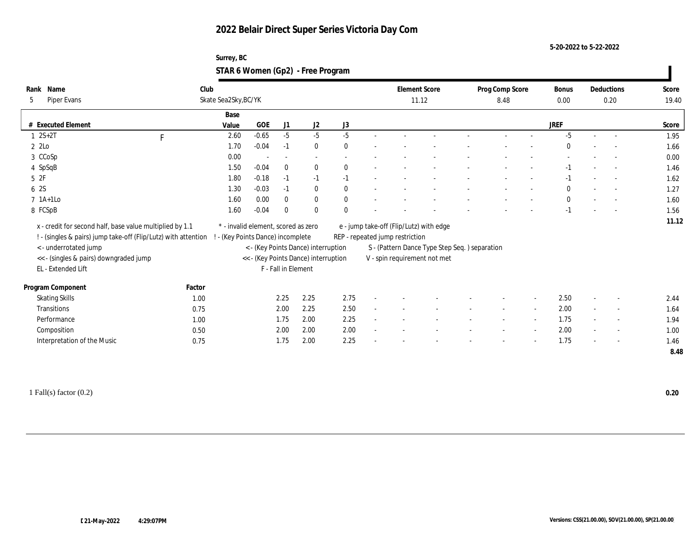#### **5-20-2022 to 5-22-2022**

### **Surrey, BC STAR 6 Women (Gp2) - Free Program**

| Name<br>Rank                                                     | Club         |                                     |            |                     |                                      |          |        |                                               | <b>Element Score</b> | Prog Comp Score          |        | Bonus        |        | Deductions               | Score |
|------------------------------------------------------------------|--------------|-------------------------------------|------------|---------------------|--------------------------------------|----------|--------|-----------------------------------------------|----------------------|--------------------------|--------|--------------|--------|--------------------------|-------|
| Piper Evans<br>5                                                 |              | Skate Sea2Sky, BC/YK                |            |                     |                                      |          |        |                                               | 11.12                | 8.48                     |        | 0.00         |        | 0.20                     | 19.40 |
|                                                                  |              | Base                                |            |                     |                                      |          |        |                                               |                      |                          |        |              |        |                          |       |
| # Executed Element                                               |              | Value                               | <b>GOE</b> | J1                  | J2                                   | $\rm J3$ |        |                                               |                      |                          |        | <b>JREF</b>  |        |                          | Score |
| $1 \ 2S + 2T$                                                    | $\mathbf{F}$ | 2.60                                | $-0.65$    | $-5$                | $-5$                                 | $-5$     |        |                                               |                      |                          |        | $-5$         |        |                          | 1.95  |
| 2 2Lo                                                            |              | 1.70                                | $-0.04$    | $-1$                | $\bf{0}$                             | $\theta$ |        |                                               |                      |                          |        | $\Omega$     |        | $\sim$                   | 1.66  |
| 3 CCoSp                                                          |              | 0.00                                |            | $\sim$              | $\sim$                               |          |        |                                               |                      |                          |        |              |        |                          | 0.00  |
| 4 SpSqB                                                          |              | 1.50                                | $-0.04$    | $\mathbf{0}$        | $\bf{0}$                             | $\theta$ | $\sim$ |                                               |                      |                          |        | $-1$         |        | $\sim$                   | 1.46  |
| 52F                                                              |              | 1.80                                | $-0.18$    | $-1$                | $-1$                                 | $-1$     |        |                                               |                      |                          |        | $-1$         |        | $\sim$                   | 1.62  |
| 6 2S                                                             |              | 1.30                                | $-0.03$    | $-1$                | $\bf{0}$                             | $\bf{0}$ |        |                                               |                      |                          |        | $\mathbf{0}$ |        | $\sim$                   | 1.27  |
| $7$ 1A+1Lo                                                       |              | 1.60                                | 0.00       | $\mathbf{0}$        | $\bf{0}$                             | $\bf{0}$ |        |                                               |                      |                          |        | $\mathbf{0}$ |        | $\overline{\phantom{a}}$ | 1.60  |
| 8 FCSpB                                                          |              | 1.60                                | $-0.04$    | $\theta$            | $\mathbf{0}$                         | $\Omega$ |        |                                               |                      |                          |        | $-1$         |        | $\sim$                   | 1.56  |
| x - credit for second half, base value multiplied by 1.1         |              | * - invalid element, scored as zero |            |                     |                                      |          |        | e - jump take-off (Flip/Lutz) with edge       |                      |                          |        |              |        |                          | 11.12 |
| ! - (singles & pairs) jump take-off (Flip/Lutz) with attention ! |              | - (Key Points Dance) incomplete     |            |                     |                                      |          |        | REP - repeated jump restriction               |                      |                          |        |              |        |                          |       |
| <- underrotated jump                                             |              |                                     |            |                     | < - (Key Points Dance) interruption  |          |        | S - (Pattern Dance Type Step Seq.) separation |                      |                          |        |              |        |                          |       |
| << - (singles & pairs) downgraded jump                           |              |                                     |            |                     | << - (Key Points Dance) interruption |          |        | V - spin requirement not met                  |                      |                          |        |              |        |                          |       |
| EL - Extended Lift                                               |              |                                     |            | F - Fall in Element |                                      |          |        |                                               |                      |                          |        |              |        |                          |       |
|                                                                  |              |                                     |            |                     |                                      |          |        |                                               |                      |                          |        |              |        |                          |       |
| Program Component                                                | Factor       |                                     |            |                     |                                      |          |        |                                               |                      |                          |        |              |        |                          |       |
| <b>Skating Skills</b>                                            | 1.00         |                                     |            | 2.25                | 2.25                                 | 2.75     |        |                                               |                      |                          |        | 2.50         |        | $\overline{\phantom{a}}$ | 2.44  |
| Transitions                                                      | 0.75         |                                     |            | 2.00                | 2.25                                 | 2.50     |        |                                               |                      | $\sim$                   | $\sim$ | 2.00         | $\sim$ | $\overline{\phantom{a}}$ | 1.64  |
| Performance                                                      | 1.00         |                                     |            | 1.75                | 2.00                                 | 2.25     | $\sim$ |                                               |                      | $\overline{\phantom{a}}$ | $\sim$ | 1.75         | $\sim$ | $\overline{\phantom{a}}$ | 1.94  |
| Composition                                                      | 0.50         |                                     |            | 2.00                | 2.00                                 | 2.00     |        |                                               |                      |                          |        | 2.00         |        | $\overline{\phantom{a}}$ | 1.00  |
| Interpretation of the Music                                      | 0.75         |                                     |            | 1.75                | 2.00                                 | 2.25     | $\sim$ |                                               |                      | $\overline{\phantom{a}}$ | $\sim$ | 1.75         | $\sim$ | $\sim$                   | 1.46  |
|                                                                  |              |                                     |            |                     |                                      |          |        |                                               |                      |                          |        |              |        |                          | 8.48  |
|                                                                  |              |                                     |            |                     |                                      |          |        |                                               |                      |                          |        |              |        |                          |       |

1 Fall(s) factor (0.2) **0.20**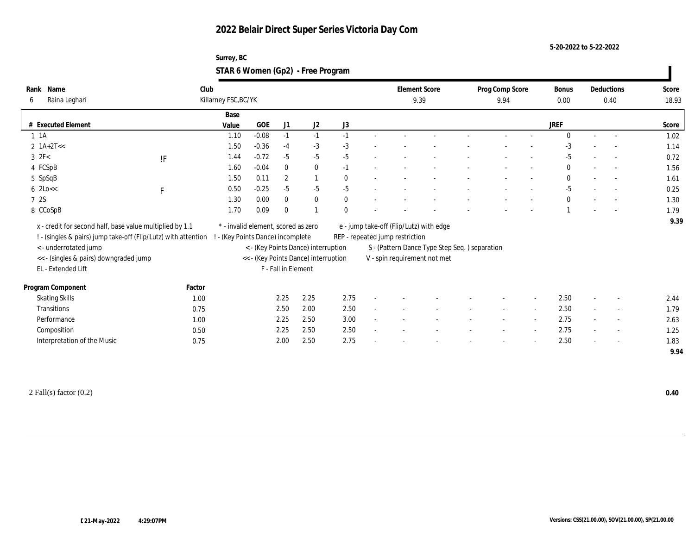**5-20-2022 to 5-22-2022**

| Surrey, BC                        |  |
|-----------------------------------|--|
| STAR 6 Women (Gp2) - Free Program |  |

| Name<br>Rank                                                   | Club         |                                   |                                     |                     |                                      |              |        |                                                | <b>Element Score</b> | Prog Comp Score |                          | Bonus        |                          | Deductions               | Score |
|----------------------------------------------------------------|--------------|-----------------------------------|-------------------------------------|---------------------|--------------------------------------|--------------|--------|------------------------------------------------|----------------------|-----------------|--------------------------|--------------|--------------------------|--------------------------|-------|
| Raina Leghari<br>6                                             |              | Killarney FSC, BC/YK              |                                     |                     |                                      |              |        |                                                | 9.39                 | 9.94            |                          | 0.00         |                          | 0.40                     | 18.93 |
|                                                                |              | Base                              |                                     |                     |                                      |              |        |                                                |                      |                 |                          |              |                          |                          |       |
| # Executed Element                                             |              | Value                             | <b>GOE</b>                          | J1                  | J2                                   | J3           |        |                                                |                      |                 |                          | JREF         |                          |                          | Score |
| $1 \t1A$                                                       |              | 1.10                              | $-0.08$                             | $-1$                | $-1$                                 | $-1$         | $\sim$ |                                                |                      |                 |                          | $\Omega$     | $\sim$                   | $\sim$                   | 1.02  |
| $2 \text{ 1A+2T}<<$                                            |              | 1.50                              | $-0.36$                             | $-4$                | $-3$                                 | $-3$         |        |                                                |                      |                 |                          | $-3$         |                          |                          | 1.14  |
| $3 \text{ } 2F<$                                               | !F           | 1.44                              | $-0.72$                             | $-5$                | $-5$                                 | $-5$         |        |                                                |                      |                 |                          | -5           |                          |                          | 0.72  |
| 4 FCSpB                                                        |              | 1.60                              | $-0.04$                             | $\theta$            | $\bf{0}$                             | $-1$         |        |                                                |                      |                 |                          | $\mathbf{0}$ |                          | $\sim$                   | 1.56  |
| 5 SpSqB                                                        |              | 1.50                              | 0.11                                | $\overline{c}$      | $\mathbf{1}$                         | $\theta$     |        |                                                |                      |                 |                          | $\mathbf{0}$ |                          | $\sim$                   | 1.61  |
| $6 \text{ 2Lo} <$                                              | $\mathbf{F}$ | 0.50                              | $-0.25$                             | $-5$                | $-5$                                 | $-5$         |        |                                                |                      |                 |                          | $-5$         |                          |                          | 0.25  |
| 7 2S                                                           |              | 1.30                              | 0.00                                | $\mathbf{0}$        | $\bf{0}$                             | $\mathbf{0}$ |        |                                                |                      |                 |                          | $\mathbf{0}$ |                          |                          | 1.30  |
| 8 CCoSpB                                                       |              | 1.70                              | 0.09                                | $\bf{0}$            |                                      | $\Omega$     |        |                                                |                      |                 |                          |              |                          |                          | 1.79  |
| x - credit for second half, base value multiplied by 1.1       |              |                                   | * - invalid element, scored as zero |                     |                                      |              |        | e - jump take-off (Flip/Lutz) with edge        |                      |                 |                          |              |                          |                          | 9.39  |
| ! - (singles & pairs) jump take-off (Flip/Lutz) with attention |              | ! - (Key Points Dance) incomplete |                                     |                     |                                      |              |        | REP - repeated jump restriction                |                      |                 |                          |              |                          |                          |       |
| < - underrotated jump                                          |              |                                   |                                     |                     | < - (Key Points Dance) interruption  |              |        | S - (Pattern Dance Type Step Seq. ) separation |                      |                 |                          |              |                          |                          |       |
| << - (singles & pairs) downgraded jump                         |              |                                   |                                     |                     | << - (Key Points Dance) interruption |              |        | V - spin requirement not met                   |                      |                 |                          |              |                          |                          |       |
| EL - Extended Lift                                             |              |                                   |                                     | F - Fall in Element |                                      |              |        |                                                |                      |                 |                          |              |                          |                          |       |
|                                                                |              |                                   |                                     |                     |                                      |              |        |                                                |                      |                 |                          |              |                          |                          |       |
| Program Component                                              | Factor       |                                   |                                     |                     |                                      |              |        |                                                |                      |                 |                          |              |                          |                          |       |
| <b>Skating Skills</b>                                          | 1.00         |                                   |                                     | 2.25                | 2.25                                 | 2.75         |        |                                                |                      |                 | $\sim$                   | 2.50         |                          | $\sim$                   | 2.44  |
| Transitions                                                    | 0.75         |                                   |                                     | 2.50                | 2.00                                 | 2.50         |        |                                                |                      |                 | $\sim$                   | 2.50         |                          | $\overline{\phantom{a}}$ | 1.79  |
| Performance                                                    | 1.00         |                                   |                                     | 2.25                | 2.50                                 | 3.00         |        |                                                |                      |                 | $\sim$                   | 2.75         |                          | $\sim$                   | 2.63  |
| Composition                                                    | 0.50         |                                   |                                     | 2.25                | 2.50                                 | 2.50         |        |                                                |                      |                 | $\overline{\phantom{a}}$ | 2.75         | $\overline{\phantom{a}}$ | $\overline{\phantom{a}}$ | 1.25  |
| Interpretation of the Music                                    | 0.75         |                                   |                                     | 2.00                | 2.50                                 | 2.75         |        |                                                |                      |                 |                          | 2.50         |                          | $\overline{\phantom{a}}$ | 1.83  |
|                                                                |              |                                   |                                     |                     |                                      |              |        |                                                |                      |                 |                          |              |                          |                          | 9.94  |
|                                                                |              |                                   |                                     |                     |                                      |              |        |                                                |                      |                 |                          |              |                          |                          |       |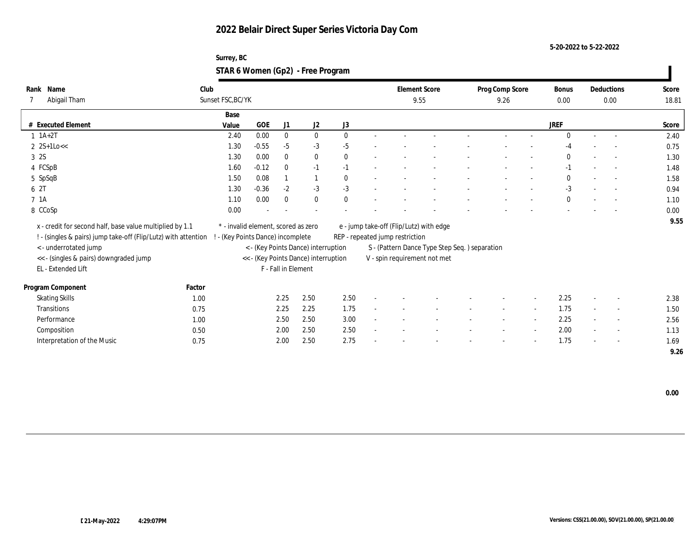**5-20-2022 to 5-22-2022**

| Surrey, BC                        |  |
|-----------------------------------|--|
| STAR 6 Women (Gp2) - Free Program |  |

| Club  |                                                                                                                                                                              |                   |                                      |                                                                                                                                       |                                                                                                                     |  |                                                                                                                                            |        |                                                | Bonus           |                                      |                          | Score                                          |
|-------|------------------------------------------------------------------------------------------------------------------------------------------------------------------------------|-------------------|--------------------------------------|---------------------------------------------------------------------------------------------------------------------------------------|---------------------------------------------------------------------------------------------------------------------|--|--------------------------------------------------------------------------------------------------------------------------------------------|--------|------------------------------------------------|-----------------|--------------------------------------|--------------------------|------------------------------------------------|
|       |                                                                                                                                                                              |                   |                                      |                                                                                                                                       |                                                                                                                     |  |                                                                                                                                            | 9.26   |                                                | 0.00            |                                      |                          | 18.81                                          |
| Base  |                                                                                                                                                                              |                   |                                      |                                                                                                                                       |                                                                                                                     |  |                                                                                                                                            |        |                                                |                 |                                      |                          |                                                |
| Value | <b>GOE</b>                                                                                                                                                                   | J1                | J2                                   | J3                                                                                                                                    |                                                                                                                     |  |                                                                                                                                            |        |                                                | <b>JREF</b>     |                                      |                          | Score                                          |
| 2.40  | 0.00                                                                                                                                                                         | $\bf{0}$          | $\bf{0}$                             | $\theta$                                                                                                                              |                                                                                                                     |  |                                                                                                                                            |        |                                                | $\mathbf{0}$    | $\sim$                               | $\overline{\phantom{a}}$ | 2.40                                           |
| 1.30  | $-0.55$                                                                                                                                                                      | $-5$              | $-3$                                 | $-5$                                                                                                                                  |                                                                                                                     |  |                                                                                                                                            |        |                                                | $-4$            |                                      |                          | 0.75                                           |
| 1.30  | 0.00                                                                                                                                                                         | $\bf{0}$          | $\bf{0}$                             | $\mathbf{0}$                                                                                                                          |                                                                                                                     |  |                                                                                                                                            |        |                                                | $\mathbf{0}$    |                                      | $\overline{\phantom{a}}$ | 1.30                                           |
| 1.60  | $-0.12$                                                                                                                                                                      | $\mathbf{0}$      | $-1$                                 | $-1$                                                                                                                                  |                                                                                                                     |  |                                                                                                                                            |        |                                                | $-1$            |                                      | $\sim$                   | 1.48                                           |
| 1.50  | 0.08                                                                                                                                                                         |                   | $\mathbf{1}$                         | $\mathbf{0}$                                                                                                                          |                                                                                                                     |  |                                                                                                                                            |        |                                                | $\mathbf{0}$    |                                      | $\overline{\phantom{a}}$ | 1.58                                           |
| 1.30  | $-0.36$                                                                                                                                                                      | $-2$              | $-3$                                 | $-3$                                                                                                                                  |                                                                                                                     |  |                                                                                                                                            |        |                                                | $-3$            |                                      |                          | 0.94                                           |
| 1.10  | 0.00                                                                                                                                                                         | $\mathbf{0}$      | $\bf{0}$                             | $\mathbf{0}$                                                                                                                          |                                                                                                                     |  |                                                                                                                                            |        |                                                | $\mathbf{0}$    |                                      | $\overline{\phantom{a}}$ | 1.10                                           |
| 0.00  |                                                                                                                                                                              |                   |                                      |                                                                                                                                       |                                                                                                                     |  |                                                                                                                                            |        |                                                |                 |                                      |                          | 0.00                                           |
|       |                                                                                                                                                                              |                   |                                      |                                                                                                                                       |                                                                                                                     |  |                                                                                                                                            |        |                                                |                 |                                      |                          | 9.55                                           |
|       |                                                                                                                                                                              |                   |                                      |                                                                                                                                       |                                                                                                                     |  |                                                                                                                                            |        |                                                |                 |                                      |                          |                                                |
|       |                                                                                                                                                                              |                   |                                      |                                                                                                                                       |                                                                                                                     |  |                                                                                                                                            |        |                                                |                 |                                      |                          |                                                |
|       |                                                                                                                                                                              |                   |                                      |                                                                                                                                       |                                                                                                                     |  |                                                                                                                                            |        |                                                |                 |                                      |                          |                                                |
|       |                                                                                                                                                                              |                   |                                      |                                                                                                                                       |                                                                                                                     |  |                                                                                                                                            |        |                                                |                 |                                      |                          |                                                |
|       |                                                                                                                                                                              |                   |                                      |                                                                                                                                       |                                                                                                                     |  |                                                                                                                                            |        |                                                |                 |                                      |                          |                                                |
|       |                                                                                                                                                                              |                   |                                      |                                                                                                                                       |                                                                                                                     |  |                                                                                                                                            |        |                                                |                 | $\overline{\phantom{a}}$             | $\overline{\phantom{a}}$ | 2.38                                           |
|       |                                                                                                                                                                              |                   |                                      |                                                                                                                                       |                                                                                                                     |  |                                                                                                                                            | $\sim$ | $\overline{\phantom{a}}$                       |                 | $\sim$                               | $\sim$                   | 1.50                                           |
|       |                                                                                                                                                                              |                   |                                      |                                                                                                                                       |                                                                                                                     |  |                                                                                                                                            |        | $\overline{a}$                                 |                 |                                      | $\overline{\phantom{a}}$ | 2.56                                           |
|       |                                                                                                                                                                              |                   |                                      |                                                                                                                                       |                                                                                                                     |  |                                                                                                                                            |        |                                                |                 |                                      | $\sim$                   | 1.13                                           |
|       |                                                                                                                                                                              |                   |                                      |                                                                                                                                       |                                                                                                                     |  |                                                                                                                                            |        |                                                |                 |                                      |                          | 1.69                                           |
|       |                                                                                                                                                                              |                   |                                      |                                                                                                                                       |                                                                                                                     |  |                                                                                                                                            |        |                                                |                 |                                      |                          | 9.26                                           |
|       | x - credit for second half, base value multiplied by 1.1<br>! - (singles & pairs) jump take-off (Flip/Lutz) with attention<br>Factor<br>1.00<br>0.75<br>1.00<br>0.50<br>0.75 | Sunset FSC, BC/YK | 2.25<br>2.25<br>2.50<br>2.00<br>2.00 | * - invalid element, scored as zero<br>- (Key Points Dance) incomplete<br>F - Fall in Element<br>2.50<br>2.25<br>2.50<br>2.50<br>2.50 | < - (Key Points Dance) interruption<br><< - (Key Points Dance) interruption<br>2.50<br>1.75<br>3.00<br>2.50<br>2.75 |  | <b>Element Score</b><br>9.55<br>e - jump take-off (Flip/Lutz) with edge<br>REP - repeated jump restriction<br>V - spin requirement not met |        | S - (Pattern Dance Type Step Seq. ) separation | Prog Comp Score | 2.25<br>1.75<br>2.25<br>2.00<br>1.75 |                          | Deductions<br>0.00<br>$\overline{\phantom{a}}$ |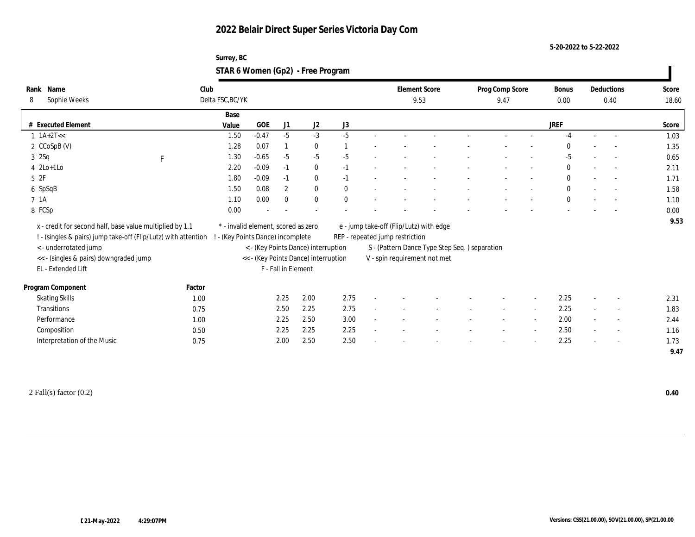**5-20-2022 to 5-22-2022**

| Surrey, BC                        |  |
|-----------------------------------|--|
| STAR 6 Women (Gp2) - Free Program |  |

| Name<br>Rank<br>Sophie Weeks<br>8                              |             | Club<br>Delta FSC, BC/YK            |            |                     |                                      |                  |                                 | <b>Element Score</b><br>9.53                   | Prog Comp Score<br>9.47 |        | Bonus<br>0.00 |        | Deductions<br>0.40       | Score<br>18.60 |
|----------------------------------------------------------------|-------------|-------------------------------------|------------|---------------------|--------------------------------------|------------------|---------------------------------|------------------------------------------------|-------------------------|--------|---------------|--------|--------------------------|----------------|
|                                                                |             | Base                                |            |                     |                                      |                  |                                 |                                                |                         |        |               |        |                          |                |
| # Executed Element                                             |             | Value                               | <b>GOE</b> | J1                  | $\mathrm{J}2$                        | $_{\mathrm{J}3}$ |                                 |                                                |                         |        | <b>JREF</b>   |        |                          | Score          |
| $1 \text{ 1A+2T} <<$                                           |             | 1.50                                | $-0.47$    | $-5$                | $-3$                                 | $-5$             |                                 |                                                |                         |        | $-4$          | $\sim$ | $\sim$                   | 1.03           |
| 2 CCoSpB (V)                                                   |             | 1.28                                | 0.07       |                     | $\bf{0}$                             |                  |                                 |                                                |                         |        | $\Omega$      |        |                          | 1.35           |
| 32Sq                                                           |             | 1.30                                | $-0.65$    | $-5$                | $-5$                                 | $-5$             |                                 |                                                |                         |        | -5            |        |                          | 0.65           |
| $4 \text{2Lo+1Lo}$                                             | $\mathbf F$ | 2.20                                | $-0.09$    | $-1$                | $\bf{0}$                             | $-1$             |                                 |                                                |                         |        | $\mathbf{0}$  |        | $\sim$                   | 2.11           |
| 52F                                                            |             | 1.80                                | $-0.09$    | $-1$                | $\bf{0}$                             | $-1$             |                                 |                                                |                         |        | $\mathbf{0}$  |        | $\overline{\phantom{a}}$ | 1.71           |
|                                                                |             | 1.50                                | 0.08       | $\overline{2}$      | $\bf{0}$                             | $\theta$         |                                 |                                                |                         |        | $\mathbf{0}$  |        |                          | 1.58           |
| 6 SpSqB<br>7 1A                                                |             | 1.10                                | 0.00       | $\mathbf{0}$        | $\mathbf{0}$                         | $\mathbf{0}$     |                                 |                                                |                         |        | $\mathbf{0}$  |        |                          | 1.10           |
| 8 FCSp                                                         |             | 0.00                                |            |                     |                                      |                  |                                 |                                                |                         |        |               |        |                          | 0.00           |
|                                                                |             |                                     |            |                     |                                      |                  |                                 |                                                |                         |        |               |        |                          |                |
| x - credit for second half, base value multiplied by 1.1       |             | * - invalid element, scored as zero |            |                     |                                      |                  |                                 | e - jump take-off (Flip/Lutz) with edge        |                         |        |               |        |                          | 9.53           |
| ! - (singles & pairs) jump take-off (Flip/Lutz) with attention |             | ! - (Key Points Dance) incomplete   |            |                     |                                      |                  | REP - repeated jump restriction |                                                |                         |        |               |        |                          |                |
| < - underrotated jump                                          |             |                                     |            |                     | < - (Key Points Dance) interruption  |                  |                                 | S - (Pattern Dance Type Step Seq. ) separation |                         |        |               |        |                          |                |
| << - (singles & pairs) downgraded jump                         |             |                                     |            |                     | << - (Key Points Dance) interruption |                  |                                 | V - spin requirement not met                   |                         |        |               |        |                          |                |
| EL - Extended Lift                                             |             |                                     |            | F - Fall in Element |                                      |                  |                                 |                                                |                         |        |               |        |                          |                |
| Program Component                                              | Factor      |                                     |            |                     |                                      |                  |                                 |                                                |                         |        |               |        |                          |                |
| <b>Skating Skills</b>                                          | 1.00        |                                     |            | 2.25                | 2.00                                 | 2.75             |                                 |                                                |                         |        | 2.25          |        |                          | 2.31           |
| Transitions                                                    | 0.75        |                                     |            | 2.50                | 2.25                                 | 2.75             |                                 |                                                |                         | $\sim$ | 2.25          |        | $\overline{\phantom{a}}$ | 1.83           |
| Performance                                                    | 1.00        |                                     |            | 2.25                | 2.50                                 | 3.00             |                                 |                                                |                         |        | 2.00          |        | $\overline{\phantom{a}}$ | 2.44           |
| Composition                                                    | 0.50        |                                     |            | 2.25                | 2.25                                 | 2.25             |                                 |                                                |                         |        | 2.50          |        | $\sim$                   | 1.16           |
| Interpretation of the Music                                    | 0.75        |                                     |            | 2.00                | 2.50                                 | 2.50             |                                 |                                                |                         |        | 2.25          |        | $\sim$                   | 1.73           |
|                                                                |             |                                     |            |                     |                                      |                  |                                 |                                                |                         |        |               |        |                          | 9.47           |
|                                                                |             |                                     |            |                     |                                      |                  |                                 |                                                |                         |        |               |        |                          |                |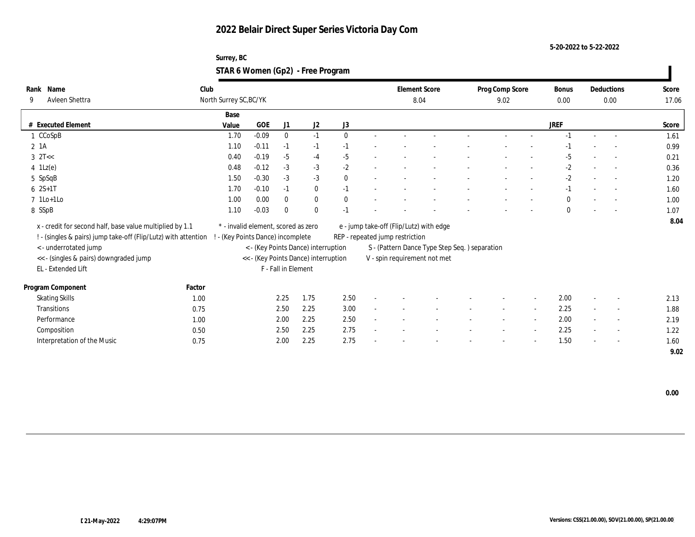**5-20-2022 to 5-22-2022**

### **Surrey, BC STAR 6 Women (Gp2) - Free Program**

| Name<br>Rank                                                   | Club   |                                     |            |                     |                                      |              |                                 | <b>Element Score</b>                          | Prog Comp Score |                          | Bonus        |        | Deductions               | Score |
|----------------------------------------------------------------|--------|-------------------------------------|------------|---------------------|--------------------------------------|--------------|---------------------------------|-----------------------------------------------|-----------------|--------------------------|--------------|--------|--------------------------|-------|
| Avleen Shettra<br>9                                            |        | North Surrey SC, BC/YK              |            |                     |                                      |              |                                 | 8.04                                          | 9.02            |                          | 0.00         | 0.00   |                          | 17.06 |
|                                                                |        | Base                                |            |                     |                                      |              |                                 |                                               |                 |                          |              |        |                          |       |
| <b>Executed Element</b>                                        |        | Value                               | <b>GOE</b> | J1                  | J2                                   | J3           |                                 |                                               |                 |                          | <b>JREF</b>  |        |                          | Score |
| 1 CCoSpB                                                       |        | 1.70                                | $-0.09$    | $\mathbf{0}$        | $-1$                                 | $\theta$     |                                 |                                               | $\sim$          |                          | $-1$         | $\sim$ | $\overline{\phantom{a}}$ | 1.61  |
| 2 1A                                                           |        | 1.10                                | $-0.11$    | $-1$                | $-1$                                 | $-1$         |                                 |                                               |                 |                          | $-1$         |        |                          | 0.99  |
| $3 \text{ }2T<<$                                               |        | 0.40                                | $-0.19$    | $-5$                | $-4$                                 | $-5$         |                                 |                                               |                 |                          | $-5$         |        |                          | 0.21  |
| $4 \text{ } 1\text{Lz}(e)$                                     |        | 0.48                                | $-0.12$    | $-3$                | $-3$                                 | $-2$         |                                 |                                               |                 |                          | $-2$         |        | $\sim$                   | 0.36  |
| 5 SpSqB                                                        |        | 1.50                                | $-0.30$    | $-3$                | $-3$                                 | $\mathbf{0}$ |                                 |                                               |                 |                          | $-2$         |        | $\sim$                   | 1.20  |
| $6 \t2S+1T$                                                    |        | 1.70                                | $-0.10$    | $-1$                | $\bf{0}$                             | $-1$         |                                 |                                               |                 |                          | $-1$         |        |                          | 1.60  |
| $7$ 1Lo+1Lo                                                    |        | 1.00                                | 0.00       | $\bf{0}$            | $\bf{0}$                             | $\mathbf{0}$ |                                 |                                               |                 |                          | $\mathbf{0}$ |        | $\overline{a}$           | 1.00  |
| 8 SSpB                                                         |        | 1.10                                | $-0.03$    | $\mathbf{0}$        | $\mathbf{0}$                         | $-1$         |                                 |                                               |                 |                          | $\theta$     |        |                          | 1.07  |
| x - credit for second half, base value multiplied by 1.1       |        | * - invalid element, scored as zero |            |                     |                                      |              |                                 | e - jump take-off (Flip/Lutz) with edge       |                 |                          |              |        |                          | 8.04  |
| ! - (singles & pairs) jump take-off (Flip/Lutz) with attention |        | ! - (Key Points Dance) incomplete   |            |                     |                                      |              | REP - repeated jump restriction |                                               |                 |                          |              |        |                          |       |
| < - underrotated jump                                          |        |                                     |            |                     | < - (Key Points Dance) interruption  |              |                                 | S - (Pattern Dance Type Step Seq.) separation |                 |                          |              |        |                          |       |
| << - (singles & pairs) downgraded jump                         |        |                                     |            |                     | << - (Key Points Dance) interruption |              |                                 | V - spin requirement not met                  |                 |                          |              |        |                          |       |
| EL - Extended Lift                                             |        |                                     |            | F - Fall in Element |                                      |              |                                 |                                               |                 |                          |              |        |                          |       |
|                                                                |        |                                     |            |                     |                                      |              |                                 |                                               |                 |                          |              |        |                          |       |
| Program Component                                              | Factor |                                     |            |                     |                                      |              |                                 |                                               |                 |                          |              |        |                          |       |
| <b>Skating Skills</b>                                          | 1.00   |                                     |            | 2.25                | 1.75                                 | 2.50         |                                 |                                               |                 | $\overline{\phantom{a}}$ | 2.00         |        | $\sim$                   | 2.13  |
| <b>Transitions</b>                                             | 0.75   |                                     |            | 2.50                | 2.25                                 | 3.00         |                                 |                                               |                 | $\sim$                   | 2.25         |        | $\overline{\phantom{a}}$ | 1.88  |
| Performance                                                    | 1.00   |                                     |            | 2.00                | 2.25                                 | 2.50         |                                 |                                               |                 | $\overline{\phantom{a}}$ | 2.00         |        | $\sim$                   | 2.19  |
| Composition                                                    | 0.50   |                                     |            | 2.50                | 2.25                                 | 2.75         |                                 |                                               |                 | $\overline{\phantom{a}}$ | 2.25         | $\sim$ | $\overline{\phantom{a}}$ | 1.22  |
| Interpretation of the Music                                    | 0.75   |                                     |            | 2.00                | 2.25                                 | 2.75         |                                 |                                               |                 | $\overline{\phantom{a}}$ | 1.50         |        | $\sim$                   | 1.60  |
|                                                                |        |                                     |            |                     |                                      |              |                                 |                                               |                 |                          |              |        |                          | 9.02  |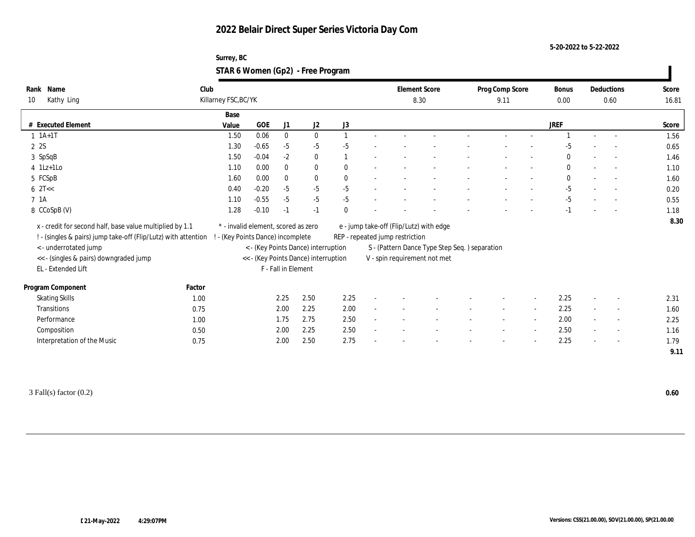**5-20-2022 to 5-22-2022**

### **Surrey, BC STAR 6 Women (Gp2) - Free Program**

| Name<br>Rank                                                   | Club   |                                     |         |                     |                                      |              |                                 | <b>Element Score</b>                          | Prog Comp Score | Bonus        |                          | Deductions               | Score |
|----------------------------------------------------------------|--------|-------------------------------------|---------|---------------------|--------------------------------------|--------------|---------------------------------|-----------------------------------------------|-----------------|--------------|--------------------------|--------------------------|-------|
| Kathy Ling<br>10                                               |        | Killarney FSC, BC/YK                |         |                     |                                      |              |                                 | 8.30                                          | 9.11            | 0.00         |                          | 0.60                     | 16.81 |
|                                                                |        | Base                                |         |                     |                                      |              |                                 |                                               |                 |              |                          |                          |       |
| # Executed Element                                             |        | Value                               | GOE     | J1                  | $\mathrm{J}2$                        | J3           |                                 |                                               |                 | <b>JREF</b>  |                          |                          | Score |
| $1 1A+1T$                                                      |        | 1.50                                | 0.06    | $\bf{0}$            | $\bf{0}$                             |              |                                 |                                               |                 |              |                          |                          | 1.56  |
| 2 2S                                                           |        | 1.30                                | $-0.65$ | $-5$                | $-5$                                 | $-5$         |                                 |                                               |                 |              |                          |                          | 0.65  |
| 3 SpSqB                                                        |        | 1.50                                | $-0.04$ | $-2$                | $\bf{0}$                             |              |                                 |                                               |                 | $\mathbf{0}$ |                          |                          | 1.46  |
| $4$ 1Lz+1Lo                                                    |        | 1.10                                | 0.00    | $\mathbf{0}$        | $\bf{0}$                             | $\theta$     |                                 |                                               |                 | $\mathbf{0}$ |                          | $\sim$                   | 1.10  |
| 5 FCSpB                                                        |        | 1.60                                | 0.00    | $\bf{0}$            | $\bf{0}$                             | $\mathbf{0}$ |                                 |                                               |                 | $\bf{0}$     |                          |                          | 1.60  |
| $6 \text{ } 2T <<$                                             |        | 0.40                                | $-0.20$ | $-5$                | $-5$                                 | $-5$         |                                 |                                               |                 | $-5$         |                          |                          | 0.20  |
| 7 <sub>1A</sub>                                                |        | 1.10                                | $-0.55$ | $-5$                | $-5$                                 | $-5$         |                                 |                                               |                 | $-5$         |                          |                          | 0.55  |
| 8 CCoSpB (V)                                                   |        | 1.28                                | $-0.10$ | $-1$                | $-1$                                 | $\theta$     |                                 |                                               |                 | $-1$         |                          |                          | 1.18  |
| x - credit for second half, base value multiplied by 1.1       |        | * - invalid element, scored as zero |         |                     |                                      |              |                                 | e - jump take-off (Flip/Lutz) with edge       |                 |              |                          |                          | 8.30  |
| ! - (singles & pairs) jump take-off (Flip/Lutz) with attention |        | ! - (Key Points Dance) incomplete   |         |                     |                                      |              | REP - repeated jump restriction |                                               |                 |              |                          |                          |       |
| <- underrotated jump                                           |        |                                     |         |                     | < - (Key Points Dance) interruption  |              |                                 | S - (Pattern Dance Type Step Seq.) separation |                 |              |                          |                          |       |
| << - (singles & pairs) downgraded jump                         |        |                                     |         |                     | << - (Key Points Dance) interruption |              |                                 | V - spin requirement not met                  |                 |              |                          |                          |       |
| EL - Extended Lift                                             |        |                                     |         | F - Fall in Element |                                      |              |                                 |                                               |                 |              |                          |                          |       |
|                                                                |        |                                     |         |                     |                                      |              |                                 |                                               |                 |              |                          |                          |       |
| Program Component                                              | Factor |                                     |         |                     |                                      |              |                                 |                                               |                 |              |                          |                          |       |
| <b>Skating Skills</b>                                          | 1.00   |                                     |         | 2.25                | 2.50                                 | 2.25         |                                 |                                               |                 | 2.25         |                          |                          | 2.31  |
| Transitions                                                    | 0.75   |                                     |         | 2.00                | 2.25                                 | 2.00         |                                 |                                               |                 | 2.25         |                          | $\overline{a}$           | 1.60  |
| Performance                                                    | 1.00   |                                     |         | 1.75                | 2.75                                 | 2.50         |                                 |                                               |                 | 2.00         | $\sim$                   | $\overline{\phantom{a}}$ | 2.25  |
| Composition                                                    | 0.50   |                                     |         | 2.00                | 2.25                                 | 2.50         |                                 |                                               |                 | 2.50         | $\overline{\phantom{a}}$ | $\sim$                   | 1.16  |
| Interpretation of the Music                                    | 0.75   |                                     |         | 2.00                | 2.50                                 | 2.75         |                                 |                                               |                 | 2.25         | $\sim$                   | $\sim$                   | 1.79  |
|                                                                |        |                                     |         |                     |                                      |              |                                 |                                               |                 |              |                          |                          | 9.11  |
|                                                                |        |                                     |         |                     |                                      |              |                                 |                                               |                 |              |                          |                          |       |

3 Fall(s) factor (0.2) **0.60**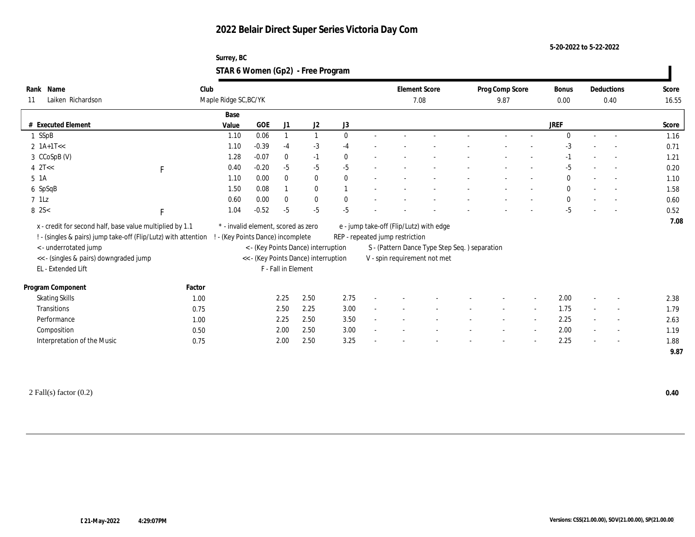#### **5-20-2022 to 5-22-2022**

### **Surrey, BC STAR 6 Women (Gp2) - Free Program**

| Name<br>Rank                                                   | Club                  |                                     |                     |                                      |              | <b>Element Score</b>                                                          |  | Prog Comp Score |                          | Bonus        | Deductions               | Score |
|----------------------------------------------------------------|-----------------------|-------------------------------------|---------------------|--------------------------------------|--------------|-------------------------------------------------------------------------------|--|-----------------|--------------------------|--------------|--------------------------|-------|
| Laiken Richardson<br>11                                        | Maple Ridge SC, BC/YK |                                     |                     |                                      |              | 7.08                                                                          |  | 9.87            |                          | 0.00         | 0.40                     | 16.55 |
|                                                                | Base                  |                                     |                     |                                      |              |                                                                               |  |                 |                          |              |                          |       |
| # Executed Element                                             | Value                 | <b>GOE</b>                          | J1                  | J2                                   | J3           |                                                                               |  |                 |                          | <b>JREF</b>  |                          | Score |
| 1 SSpB                                                         | 1.10                  | 0.06                                |                     | $\mathbf{1}$                         | $\mathbf{0}$ |                                                                               |  |                 |                          | $\Omega$     | $\overline{a}$           | 1.16  |
| 2 $1A+1T<<$                                                    | 1.10                  | $-0.39$                             | $-4$                | $-3$                                 | $-4$         |                                                                               |  |                 |                          | $-3$         | $\overline{\phantom{a}}$ | 0.71  |
| 3 CCoSpB (V)                                                   | 1.28                  | $-0.07$                             | $\mathbf{0}$        | $-1$                                 | $\mathbf{0}$ |                                                                               |  |                 |                          | $-1$         |                          | 1.21  |
| $4$ $2$ T<<<br>$\mathbf F$                                     | 0.40                  | $-0.20$                             | $-5$                | $-5$                                 | $-5$         |                                                                               |  |                 |                          | $-5$         | $\overline{\phantom{a}}$ | 0.20  |
| 5 1A                                                           | 1.10                  | 0.00                                | $\bf{0}$            | $\mathbf{0}$                         | $\mathbf{0}$ |                                                                               |  |                 |                          | $\mathbf{0}$ | $\sim$                   | 1.10  |
| 6 SpSqB                                                        | 1.50                  | 0.08                                |                     | $\bf{0}$                             |              |                                                                               |  |                 |                          | $\mathbf{0}$ |                          | 1.58  |
| $7$ 1Lz                                                        | 0.60                  | 0.00                                | $\mathbf{0}$        | $\bf{0}$                             | $\mathbf{0}$ |                                                                               |  |                 |                          | $\mathbf{0}$ | $\overline{a}$           | 0.60  |
| 8 2S<<br>$\mathbf{F}$                                          | 1.04                  | $-0.52$                             | $-5$                | $-5$                                 | $-5$         |                                                                               |  |                 |                          | $-5$         |                          | 0.52  |
| x - credit for second half, base value multiplied by 1.1       |                       | * - invalid element, scored as zero |                     |                                      |              | e - jump take-off (Flip/Lutz) with edge                                       |  |                 |                          |              |                          | 7.08  |
| ! - (singles & pairs) jump take-off (Flip/Lutz) with attention |                       | - (Key Points Dance) incomplete     |                     |                                      |              | REP - repeated jump restriction                                               |  |                 |                          |              |                          |       |
| <- underrotated jump                                           |                       |                                     |                     | < - (Key Points Dance) interruption  |              |                                                                               |  |                 |                          |              |                          |       |
|                                                                |                       |                                     |                     | << - (Key Points Dance) interruption |              | S - (Pattern Dance Type Step Seq.) separation<br>V - spin requirement not met |  |                 |                          |              |                          |       |
| << - (singles & pairs) downgraded jump<br>EL - Extended Lift   |                       |                                     | F - Fall in Element |                                      |              |                                                                               |  |                 |                          |              |                          |       |
|                                                                |                       |                                     |                     |                                      |              |                                                                               |  |                 |                          |              |                          |       |
| Program Component                                              | Factor                |                                     |                     |                                      |              |                                                                               |  |                 |                          |              |                          |       |
| <b>Skating Skills</b>                                          | 1.00                  |                                     | 2.25                | 2.50                                 | 2.75         |                                                                               |  |                 |                          | 2.00         |                          | 2.38  |
| Transitions                                                    | 0.75                  |                                     | 2.50                | 2.25                                 | 3.00         |                                                                               |  |                 | $\sim$                   | 1.75         | $\overline{\phantom{a}}$ | 1.79  |
| Performance                                                    | 1.00                  |                                     | 2.25                | 2.50                                 | 3.50         |                                                                               |  |                 | $\overline{\phantom{a}}$ | 2.25         | $\overline{\phantom{a}}$ | 2.63  |
| Composition                                                    | 0.50                  |                                     | 2.00                | 2.50                                 | 3.00         |                                                                               |  |                 |                          | 2.00         | $\overline{\phantom{a}}$ | 1.19  |
| Interpretation of the Music                                    | 0.75                  |                                     | 2.00                | 2.50                                 | 3.25         |                                                                               |  |                 |                          | 2.25         | $\sim$                   | 1.88  |
|                                                                |                       |                                     |                     |                                      |              |                                                                               |  |                 |                          |              |                          | 9.87  |

2 Fall(s) factor (0.2) **0.40**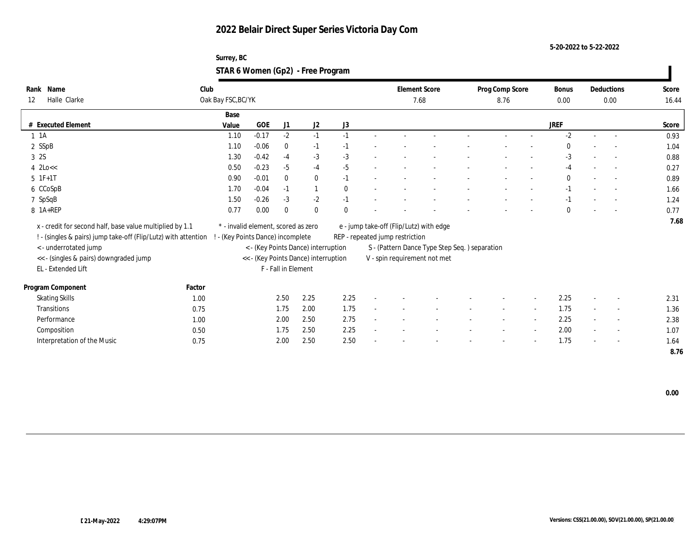**5-20-2022 to 5-22-2022**

| Surrey, BC                        |  |
|-----------------------------------|--|
| STAR 6 Women (Gp2) - Free Program |  |

| Rank Name                                                      | Club               |                                      |                     |                                     |              |                                 | <b>Element Score</b>                          | Prog Comp Score |        | <b>Bonus</b> |                          | Deductions               | Score |
|----------------------------------------------------------------|--------------------|--------------------------------------|---------------------|-------------------------------------|--------------|---------------------------------|-----------------------------------------------|-----------------|--------|--------------|--------------------------|--------------------------|-------|
| Halle Clarke<br>12                                             | Oak Bay FSC, BC/YK |                                      |                     |                                     |              |                                 | 7.68                                          | 8.76            |        | 0.00         | 0.00                     |                          | 16.44 |
|                                                                | Base               |                                      |                     |                                     |              |                                 |                                               |                 |        |              |                          |                          |       |
| # Executed Element                                             | Value              | <b>GOE</b>                           | J <sub>1</sub>      | J <sub>2</sub>                      | J3           |                                 |                                               |                 |        | <b>JREF</b>  |                          |                          | Score |
| $1 \t1A$                                                       | 1.10               | $-0.17$                              | $-2$                | $-1$                                | $-1$         |                                 |                                               |                 |        | $-2$         | $\sim$                   |                          | 0.93  |
| 2 SSpB                                                         | 1.10               | $-0.06$                              | $\bf{0}$            | $-1$                                | $-1$         |                                 |                                               |                 |        | $\Omega$     |                          |                          | 1.04  |
| 3 2S                                                           | 1.30               | $-0.42$                              | $-4$                | $-3$                                | $-3$         |                                 |                                               |                 |        | $-3$         |                          |                          | 0.88  |
| $4 \text{ 2Lo} <$                                              | 0.50               | $-0.23$                              | $-5$                | $-4$                                | $-5$         |                                 |                                               |                 |        | $-4$         | $\sim$                   | $\sim$                   | 0.27  |
| $5 \t1F+1T$                                                    | 0.90               | $-0.01$                              | $\mathbf{0}$        | $\mathbf{0}$                        | $-1$         |                                 |                                               |                 |        | $\bf{0}$     |                          | $\sim$                   | 0.89  |
| 6 CCoSpB                                                       | 1.70               | $-0.04$                              | $-1$                | $\mathbf{1}$                        | $\mathbf{0}$ |                                 |                                               |                 |        | $-1$         |                          |                          | 1.66  |
| 7 SpSqB                                                        | 1.50               | $-0.26$                              | $-3$                | $-2$                                | $-1$         |                                 |                                               |                 |        | $-1$         |                          |                          | 1.24  |
| 8 1A+REP                                                       | 0.77               | 0.00                                 | $\bf{0}$            | $\mathbf{0}$                        | $\mathbf{0}$ |                                 |                                               |                 |        | $\theta$     |                          |                          | 0.77  |
| x - credit for second half, base value multiplied by 1.1       |                    | * - invalid element, scored as zero  |                     |                                     |              |                                 | e - jump take-off (Flip/Lutz) with edge       |                 |        |              |                          |                          | 7.68  |
| ! - (singles & pairs) jump take-off (Flip/Lutz) with attention |                    | ! - (Key Points Dance) incomplete    |                     |                                     |              | REP - repeated jump restriction |                                               |                 |        |              |                          |                          |       |
| < - underrotated jump                                          |                    |                                      |                     | < - (Key Points Dance) interruption |              |                                 | S - (Pattern Dance Type Step Seq.) separation |                 |        |              |                          |                          |       |
| << - (singles & pairs) downgraded jump                         |                    | << - (Key Points Dance) interruption |                     |                                     |              |                                 | V - spin requirement not met                  |                 |        |              |                          |                          |       |
| EL - Extended Lift                                             |                    |                                      | F - Fall in Element |                                     |              |                                 |                                               |                 |        |              |                          |                          |       |
|                                                                |                    |                                      |                     |                                     |              |                                 |                                               |                 |        |              |                          |                          |       |
| Program Component                                              | Factor             |                                      |                     |                                     |              |                                 |                                               |                 |        |              |                          |                          |       |
| <b>Skating Skills</b>                                          | 1.00               |                                      | 2.50                | 2.25                                | 2.25         |                                 |                                               |                 |        | 2.25         |                          | $\sim$                   | 2.31  |
| Transitions                                                    | 0.75               |                                      | 1.75                | 2.00                                | 1.75         |                                 |                                               | $\sim$          | $\sim$ | 1.75         | $\sim$                   | $\sim$                   | 1.36  |
| Performance                                                    | 1.00               |                                      | 2.00                | 2.50                                | 2.75         |                                 |                                               |                 |        | 2.25         |                          | $\sim$                   | 2.38  |
| Composition                                                    | 0.50               |                                      | 1.75                | 2.50                                | 2.25         |                                 |                                               |                 |        | 2.00         | $\overline{\phantom{a}}$ | $\overline{\phantom{a}}$ | 1.07  |
| Interpretation of the Music                                    | 0.75               |                                      | 2.00                | 2.50                                | 2.50         |                                 |                                               |                 |        | 1.75         |                          | $\sim$                   | 1.64  |
|                                                                |                    |                                      |                     |                                     |              |                                 |                                               |                 |        |              |                          |                          | 8.76  |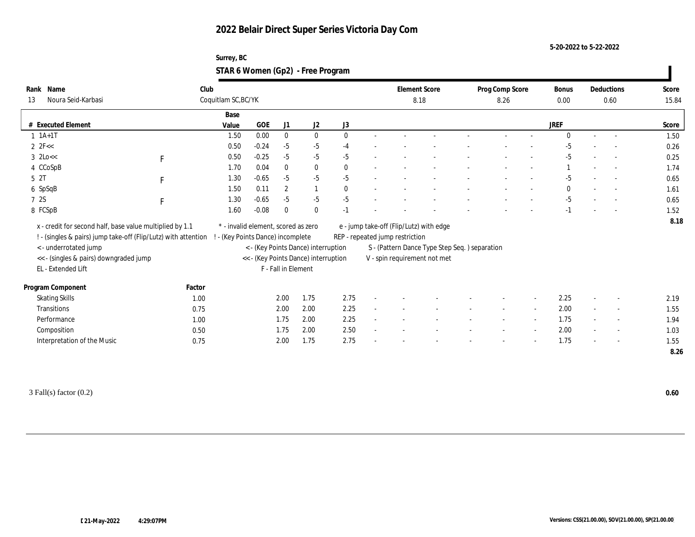#### **5-20-2022 to 5-22-2022**

### **Surrey, BC STAR 6 Women (Gp2) - Free Program**

| Name<br>Rank                                                   | Club         |                                     |                                 |                     |                                      |              |                                 | <b>Element Score</b>                           | Prog Comp Score |                          | Bonus       |      | Deductions               | Score |
|----------------------------------------------------------------|--------------|-------------------------------------|---------------------------------|---------------------|--------------------------------------|--------------|---------------------------------|------------------------------------------------|-----------------|--------------------------|-------------|------|--------------------------|-------|
| Noura Seid-Karbasi<br>13                                       |              | Coquitlam SC, BC/YK                 |                                 |                     |                                      |              |                                 | 8.18                                           | 8.26            |                          | 0.00        | 0.60 |                          | 15.84 |
|                                                                |              | Base                                |                                 |                     |                                      |              |                                 |                                                |                 |                          |             |      |                          |       |
| # Executed Element                                             |              | Value                               | GOE                             | J1                  | J2                                   | $\rm J3$     |                                 |                                                |                 |                          | <b>JREF</b> |      |                          | Score |
| $1 \t1A+1T$                                                    |              | 1.50                                | 0.00                            | $\bf{0}$            | $\bf{0}$                             | $\mathbf{0}$ |                                 |                                                |                 |                          | $\Omega$    |      |                          | 1.50  |
| 2 $2F <$                                                       |              | 0.50                                | $-0.24$                         | $-5$                | $-5$                                 | $-4$         |                                 |                                                |                 |                          | $-5$        |      |                          | 0.26  |
| $3 \text{ 2Lo}<<$                                              | $\mathbf F$  | 0.50                                | $-0.25$                         | $-5$                | $-5$                                 | $-5$         |                                 |                                                |                 |                          | $-5$        |      |                          | 0.25  |
| 4 CCoSpB                                                       |              | 1.70                                | 0.04                            | $\bf{0}$            | $\bf{0}$                             | $\theta$     |                                 |                                                |                 |                          |             |      | $\overline{a}$           | 1.74  |
| 5 <sup>2T</sup>                                                | $\mathbf{F}$ | 1.30                                | $-0.65$                         | $-5$                | $-5$                                 | $-5$         |                                 |                                                |                 |                          | -5          |      | $\overline{\phantom{a}}$ | 0.65  |
| 6 SpSqB                                                        |              | 1.50                                | 0.11                            | $\overline{2}$      | $\mathbf{1}$                         | $\mathbf{0}$ |                                 |                                                |                 |                          | $\theta$    |      |                          | 1.61  |
| 7 2S                                                           | $\mathbf F$  | 1.30                                | $-0.65$                         | $-5$                | $-5$                                 | $-5$         |                                 |                                                |                 |                          | $-5$        |      |                          | 0.65  |
| 8 FCSpB                                                        |              | 1.60                                | $-0.08$                         | $\mathbf{0}$        | $\mathbf{0}$                         | $-1$         |                                 |                                                |                 |                          | $-1$        |      | $\sim$                   | 1.52  |
| x - credit for second half, base value multiplied by 1.1       |              | * - invalid element, scored as zero |                                 |                     |                                      |              |                                 | e - jump take-off (Flip/Lutz) with edge        |                 |                          |             |      |                          | 8.18  |
|                                                                |              |                                     |                                 |                     |                                      |              |                                 |                                                |                 |                          |             |      |                          |       |
| ! - (singles & pairs) jump take-off (Flip/Lutz) with attention |              |                                     | - (Key Points Dance) incomplete |                     |                                      |              | REP - repeated jump restriction |                                                |                 |                          |             |      |                          |       |
| <- underrotated jump                                           |              |                                     |                                 |                     | < - (Key Points Dance) interruption  |              |                                 | S - (Pattern Dance Type Step Seq. ) separation |                 |                          |             |      |                          |       |
| << - (singles & pairs) downgraded jump                         |              |                                     |                                 |                     | << - (Key Points Dance) interruption |              |                                 | V - spin requirement not met                   |                 |                          |             |      |                          |       |
| EL - Extended Lift                                             |              |                                     |                                 | F - Fall in Element |                                      |              |                                 |                                                |                 |                          |             |      |                          |       |
| Program Component                                              | Factor       |                                     |                                 |                     |                                      |              |                                 |                                                |                 |                          |             |      |                          |       |
| <b>Skating Skills</b>                                          | 1.00         |                                     |                                 | 2.00                | 1.75                                 | 2.75         |                                 |                                                |                 |                          | 2.25        |      | $\overline{\phantom{a}}$ | 2.19  |
| Transitions                                                    | 0.75         |                                     |                                 | 2.00                | 2.00                                 | 2.25         |                                 |                                                |                 | $\sim$                   | 2.00        |      | $\sim$                   | 1.55  |
| Performance                                                    | 1.00         |                                     |                                 | 1.75                | 2.00                                 | 2.25         |                                 |                                                |                 | $\overline{\phantom{a}}$ | 1.75        |      | $\overline{\phantom{a}}$ | 1.94  |
| Composition                                                    | 0.50         |                                     |                                 | 1.75                | 2.00                                 | 2.50         |                                 |                                                |                 | $\overline{\phantom{a}}$ | 2.00        |      | $\overline{\phantom{a}}$ | 1.03  |
| Interpretation of the Music                                    | 0.75         |                                     |                                 | 2.00                | 1.75                                 | 2.75         |                                 |                                                |                 | $\overline{\phantom{a}}$ | 1.75        |      | $\overline{\phantom{a}}$ | 1.55  |
|                                                                |              |                                     |                                 |                     |                                      |              |                                 |                                                |                 |                          |             |      |                          | 8.26  |

3 Fall(s) factor (0.2) **0.60**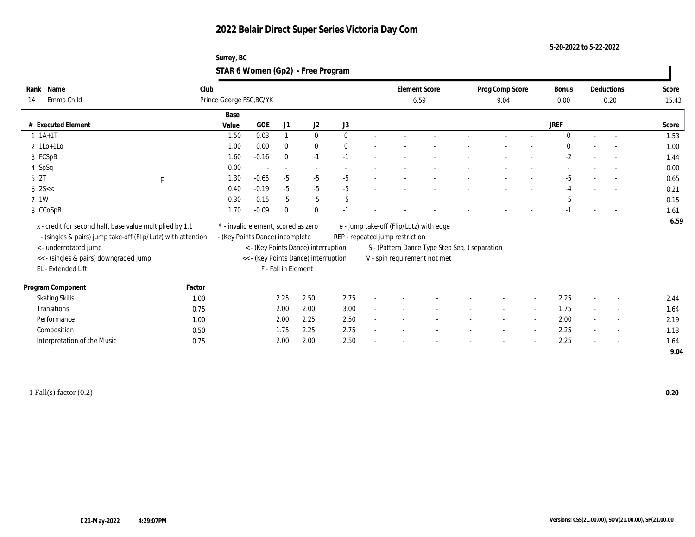**5-20-2022 to 5-22-2022**

### **Surrey, BC STAR 6 Women (Gp2) - Free Program**

| Name<br>Rank                                                   | Club                              |                                     |                          |                                      |              | <b>Element Score</b>            |                                                | Prog Comp Score |                          | <b>Bonus</b> |        | Deductions               | Score |
|----------------------------------------------------------------|-----------------------------------|-------------------------------------|--------------------------|--------------------------------------|--------------|---------------------------------|------------------------------------------------|-----------------|--------------------------|--------------|--------|--------------------------|-------|
| Emma Child<br>14                                               | Prince George FSC, BC/YK          |                                     |                          |                                      |              | 6.59                            |                                                | 9.04            |                          | 0.00         |        | 0.20                     | 15.43 |
|                                                                | Base                              |                                     |                          |                                      |              |                                 |                                                |                 |                          |              |        |                          |       |
| # Executed Element                                             | Value                             | GOE                                 | J1                       | $\mathrm{J}2$                        | J3           |                                 |                                                |                 |                          | <b>JREF</b>  |        |                          | Score |
| $1 \t1A+1T$                                                    | 1.50                              | 0.03                                |                          | $\bf{0}$                             | $\mathbf{0}$ |                                 |                                                |                 |                          | $\Omega$     |        | $\overline{a}$           | 1.53  |
| $2$ 1Lo+1Lo                                                    | 1.00                              | 0.00                                | $\bf{0}$                 | $\bf{0}$                             | $\mathbf{0}$ |                                 |                                                |                 |                          | $\Omega$     |        |                          | 1.00  |
| 3 FCSpB                                                        | 1.60                              | $-0.16$                             | $\mathbf{0}$             | $-1$                                 | $-1$         |                                 |                                                |                 |                          | $-2$         |        |                          | 1.44  |
| 4 SpSq                                                         | 0.00                              |                                     | $\overline{\phantom{a}}$ | $\sim$                               |              |                                 |                                                |                 |                          |              |        | $\overline{a}$           | 0.00  |
| 5 <sup>2T</sup><br>$\mathbf F$                                 | 1.30                              | $-0.65$                             | $-5$                     | $-5$                                 | $-5$         |                                 |                                                |                 |                          | $-5$         |        |                          | 0.65  |
| $6 \, 25 <$                                                    | 0.40                              | $-0.19$                             | $-5$                     | $-5$                                 | $-5$         |                                 |                                                |                 |                          | $-4$         |        | $\overline{a}$           | 0.21  |
| 7 1W                                                           | 0.30                              | $-0.15$                             | $-5$                     | $-5$                                 | $-5$         |                                 |                                                |                 |                          | $-5$         |        |                          | 0.15  |
| 8 CCoSpB                                                       | 1.70                              | $-0.09$                             | $\mathbf{0}$             | $\mathbf{0}$                         | $-1$         |                                 |                                                |                 |                          | $-1$         |        |                          | 1.61  |
| x - credit for second half, base value multiplied by 1.1       |                                   | * - invalid element, scored as zero |                          |                                      |              |                                 | e - jump take-off (Flip/Lutz) with edge        |                 |                          |              |        |                          | 6.59  |
| ! - (singles & pairs) jump take-off (Flip/Lutz) with attention | ! - (Key Points Dance) incomplete |                                     |                          |                                      |              | REP - repeated jump restriction |                                                |                 |                          |              |        |                          |       |
| <- underrotated jump                                           |                                   |                                     |                          | < - (Key Points Dance) interruption  |              |                                 | S - (Pattern Dance Type Step Seq. ) separation |                 |                          |              |        |                          |       |
| << - (singles & pairs) downgraded jump                         |                                   |                                     |                          | << - (Key Points Dance) interruption |              |                                 | V - spin requirement not met                   |                 |                          |              |        |                          |       |
| EL - Extended Lift                                             |                                   |                                     | F - Fall in Element      |                                      |              |                                 |                                                |                 |                          |              |        |                          |       |
|                                                                |                                   |                                     |                          |                                      |              |                                 |                                                |                 |                          |              |        |                          |       |
| Program Component<br>Factor                                    |                                   |                                     |                          |                                      |              |                                 |                                                |                 |                          |              |        |                          |       |
| <b>Skating Skills</b><br>1.00                                  |                                   |                                     | 2.25                     | 2.50                                 | 2.75         |                                 |                                                |                 |                          | 2.25         |        | $\sim$                   | 2.44  |
| <b>Transitions</b><br>0.75                                     |                                   |                                     | 2.00                     | 2.00                                 | 3.00         |                                 |                                                |                 | $\sim$                   | 1.75         | $\sim$ | $\overline{\phantom{a}}$ | 1.64  |
| Performance<br>1.00                                            |                                   |                                     | 2.00                     | 2.25                                 | 2.50         |                                 |                                                |                 | $\sim$                   | 2.00         | $\sim$ | $\overline{\phantom{a}}$ | 2.19  |
| Composition<br>0.50                                            |                                   |                                     | 1.75                     | 2.25                                 | 2.75         |                                 |                                                |                 |                          | 2.25         |        | $\sim$                   | 1.13  |
| Interpretation of the Music<br>0.75                            |                                   |                                     | 2.00                     | 2.00                                 | 2.50         |                                 |                                                |                 | $\overline{\phantom{a}}$ | 2.25         |        | $\sim$                   | 1.64  |
|                                                                |                                   |                                     |                          |                                      |              |                                 |                                                |                 |                          |              |        |                          | 9.04  |

1 Fall(s) factor (0.2) **0.20**